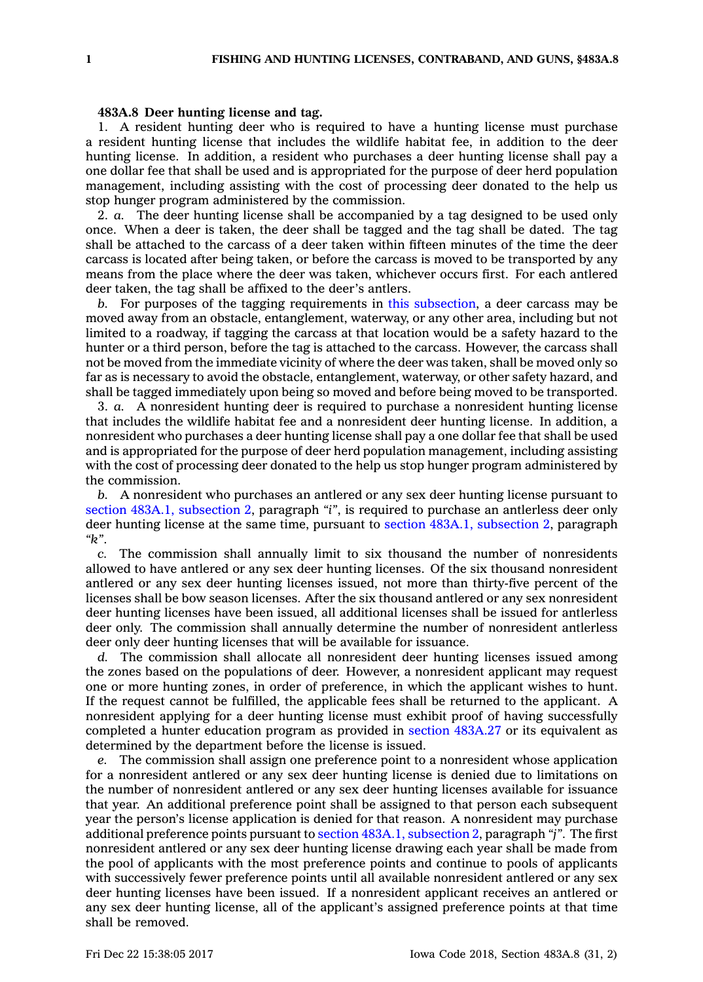## **483A.8 Deer hunting license and tag.**

1. A resident hunting deer who is required to have <sup>a</sup> hunting license must purchase <sup>a</sup> resident hunting license that includes the wildlife habitat fee, in addition to the deer hunting license. In addition, <sup>a</sup> resident who purchases <sup>a</sup> deer hunting license shall pay <sup>a</sup> one dollar fee that shall be used and is appropriated for the purpose of deer herd population management, including assisting with the cost of processing deer donated to the help us stop hunger program administered by the commission.

2. *a.* The deer hunting license shall be accompanied by <sup>a</sup> tag designed to be used only once. When <sup>a</sup> deer is taken, the deer shall be tagged and the tag shall be dated. The tag shall be attached to the carcass of <sup>a</sup> deer taken within fifteen minutes of the time the deer carcass is located after being taken, or before the carcass is moved to be transported by any means from the place where the deer was taken, whichever occurs first. For each antlered deer taken, the tag shall be affixed to the deer's antlers.

*b.* For purposes of the tagging requirements in this [subsection](https://www.legis.iowa.gov/docs/code/483A.8.pdf), <sup>a</sup> deer carcass may be moved away from an obstacle, entanglement, waterway, or any other area, including but not limited to <sup>a</sup> roadway, if tagging the carcass at that location would be <sup>a</sup> safety hazard to the hunter or <sup>a</sup> third person, before the tag is attached to the carcass. However, the carcass shall not be moved from the immediate vicinity of where the deer was taken, shall be moved only so far as is necessary to avoid the obstacle, entanglement, waterway, or other safety hazard, and shall be tagged immediately upon being so moved and before being moved to be transported.

3. *a.* A nonresident hunting deer is required to purchase <sup>a</sup> nonresident hunting license that includes the wildlife habitat fee and <sup>a</sup> nonresident deer hunting license. In addition, <sup>a</sup> nonresident who purchases <sup>a</sup> deer hunting license shall pay <sup>a</sup> one dollar fee that shall be used and is appropriated for the purpose of deer herd population management, including assisting with the cost of processing deer donated to the help us stop hunger program administered by the commission.

*b.* A nonresident who purchases an antlered or any sex deer hunting license pursuant to section 483A.1, [subsection](https://www.legis.iowa.gov/docs/code/483A.1.pdf) 2, paragraph *"i"*, is required to purchase an antlerless deer only deer hunting license at the same time, pursuant to section 483A.1, [subsection](https://www.legis.iowa.gov/docs/code/483A.1.pdf) 2, paragraph *"k"*.

*c.* The commission shall annually limit to six thousand the number of nonresidents allowed to have antlered or any sex deer hunting licenses. Of the six thousand nonresident antlered or any sex deer hunting licenses issued, not more than thirty-five percent of the licenses shall be bow season licenses. After the six thousand antlered or any sex nonresident deer hunting licenses have been issued, all additional licenses shall be issued for antlerless deer only. The commission shall annually determine the number of nonresident antlerless deer only deer hunting licenses that will be available for issuance.

*d.* The commission shall allocate all nonresident deer hunting licenses issued among the zones based on the populations of deer. However, <sup>a</sup> nonresident applicant may request one or more hunting zones, in order of preference, in which the applicant wishes to hunt. If the request cannot be fulfilled, the applicable fees shall be returned to the applicant. A nonresident applying for <sup>a</sup> deer hunting license must exhibit proof of having successfully completed <sup>a</sup> hunter education program as provided in section [483A.27](https://www.legis.iowa.gov/docs/code/483A.27.pdf) or its equivalent as determined by the department before the license is issued.

*e.* The commission shall assign one preference point to <sup>a</sup> nonresident whose application for <sup>a</sup> nonresident antlered or any sex deer hunting license is denied due to limitations on the number of nonresident antlered or any sex deer hunting licenses available for issuance that year. An additional preference point shall be assigned to that person each subsequent year the person's license application is denied for that reason. A nonresident may purchase additional preference points pursuant to section 483A.1, [subsection](https://www.legis.iowa.gov/docs/code/483A.1.pdf) 2, paragraph *"j"*. The first nonresident antlered or any sex deer hunting license drawing each year shall be made from the pool of applicants with the most preference points and continue to pools of applicants with successively fewer preference points until all available nonresident antlered or any sex deer hunting licenses have been issued. If <sup>a</sup> nonresident applicant receives an antlered or any sex deer hunting license, all of the applicant's assigned preference points at that time shall be removed.